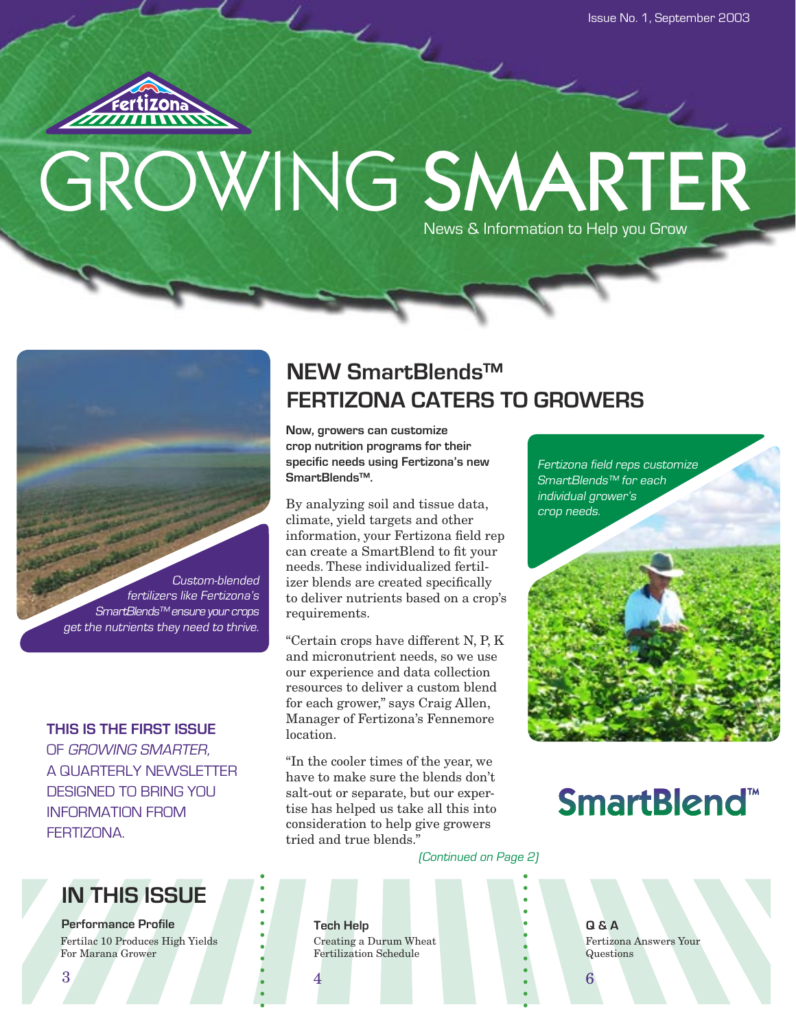

# GROWING SMARTER News & Information to Help you Grow



### **THIS IS THE FIRST ISSUE**

OF GROWING SMARTER, A QUARTERLY NEWSLETTER DESIGNED TO BRING YOU INFORMATION FROM **FFRTIZONA** 

# **IN THIS ISSUE**

**Performance Profile** Fertilac 10 Produces High Yields For Marana Grower

# **NEW SmartBlends™ FERTIZONA CATERS TO GROWERS**

**Now, growers can customize crop nutrition programs for their specific needs using Fertizona's new SmartBlends™.**

By analyzing soil and tissue data, climate, yield targets and other information, your Fertizona field rep can create a SmartBlend to fit your needs. These individualized fertilizer blends are created specifically to deliver nutrients based on a crop's requirements.

"Certain crops have different N, P, K and micronutrient needs, so we use our experience and data collection resources to deliver a custom blend for each grower," says Craig Allen, Manager of Fertizona's Fennemore **location** 

"In the cooler times of the year, we have to make sure the blends don't salt-out or separate, but our expertise has helped us take all this into consideration to help give growers tried and true blends."

Fertizona field reps customize SmartBlends™ for each individual grower's crop needs.

# **SmartBlend™**

(Continued on Page 2)

**Tech Help Q & A** Creating a Durum Wheat Fertilization Schedule

Fertizona Answers Your Questions

 $3$  6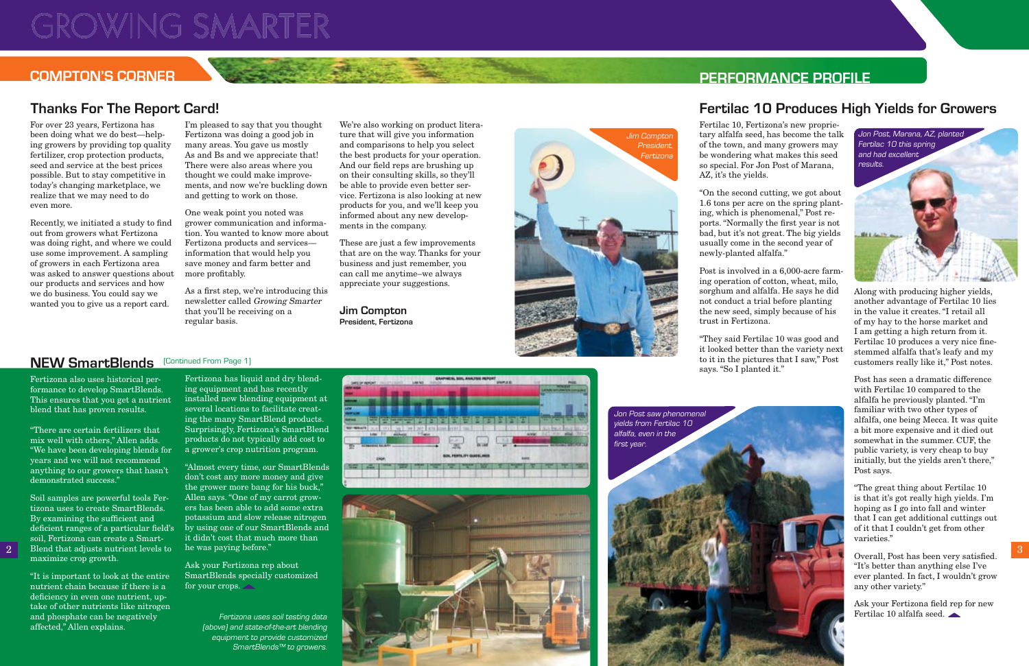For over 23 years, Fertizona has been doing what we do best—helping growers by providing top quality fertilizer, crop protection products, seed and service at the best prices possible. But to stay competitive in today's changing marketplace, we realize that we may need to do even more.

Recently, we initiated a study to find out from growers what Fertizona was doing right, and where we could use some improvement. A sampling of growers in each Fertizona area was asked to answer questions about our products and services and how we do business. You could say we wanted you to give us a report card.

One weak point you noted was grower communication and information. You wanted to know more about Fertizona products and services information that would help you save money and farm better and more profitably.

As a first step, we're introducing this newsletter called Growing Smarter that you'll be receiving on a regular basis.

I'm pleased to say that you thought Fertizona was doing a good job in many areas. You gave us mostly As and Bs and we appreciate that! There were also areas where you thought we could make improvements, and now we're buckling down and getting to work on those.

We're also working on product literature that will give you information and comparisons to help you select the best products for your operation. And our field reps are brushing up on their consulting skills, so they'll be able to provide even better service. Fertizona is also looking at new products for you, and we'll keep you informed about any new developments in the company.

Ask your Fertizona rep about SmartBlends specially customized for your crops.

These are just a few improvements that are on the way. Thanks for your business and just remember, you can call me anytime–we always appreciate your suggestions.

SMS Blowered Committee

Fertizona also uses historical performance to develop SmartBlends. This ensures that you get a nutrient blend that has proven results.

"There are certain fertilizers that mix well with others," Allen adds. "We have been developing blends for years and we will not recommend anything to our growers that hasn't demonstrated success."

Soil samples are powerful tools Fertizona uses to create SmartBlends. By examining the sufficient and  $deficient$  ranges of a particular field's soil, Fertizona can create a Smartmaximize crop growth.

"It is important to look at the entire nutrient chain because if there is a deficiency in even one nutrient, uptake of other nutrients like nitrogen and phosphate can be negatively affected," Allen explains.

Overall, Post has been very satisfied. "It's better than anything else I've ever planted. In fact, I wouldn't grow any other variety."

Ask your Fertizona field rep for new Fertilac 10 alfalfa seed.

Fertizona has liquid and dry blending equipment and has recently installed new blending equipment at several locations to facilitate creating the many SmartBlend products. Surprisingly, Fertizona's SmartBlend products do not typically add cost to a grower's crop nutrition program.

"Almost every time, our SmartBlends don't cost any more money and give the grower more bang for his buck," Allen says. "One of my carrot growers has been able to add some extra potassium and slow release nitrogen by using one of our SmartBlends and it didn't cost that much more than he was paying before."

Fertilac 10, Fertizona's new proprietary alfalfa seed, has become the talk of the town, and many growers may be wondering what makes this seed so special. For Jon Post of Marana, AZ, it's the yields.

# **NEW SmartBlends** (Continued From Page 1)

"On the second cutting, we got about 1.6 tons per acre on the spring planting, which is phenomenal," Post reports. "Normally the first year is not bad, but it's not great. The big yields usually come in the second year of newly-planted alfalfa."



Post is involved in a 6,000-acre farming operation of cotton, wheat, milo, sorghum and alfalfa. He says he did not conduct a trial before planting the new seed, simply because of his



trust in Fertizona.

"They said Fertilac 10 was good and it looked better than the variety next to it in the pictures that I saw," Post says. "So I planted it."

Along with producing higher yields, another advantage of Fertilac 10 lies in the value it creates. "I retail all of my hay to the horse market and I am getting a high return from it. Fertilac 10 produces a very nice finestemmed alfalfa that's leafy and my customers really like it," Post notes.

Post has seen a dramatic difference with Fertilac 10 compared to the alfalfa he previously planted. "I'm familiar with two other types of alfalfa, one being Mecca. It was quite a bit more expensive and it died out somewhat in the summer. CUF, the public variety, is very cheap to buy initially, but the yields aren't there," Post says.

"The great thing about Fertilac 10 is that it's got really high yields. I'm hoping as I go into fall and winter that I can get additional cuttings out of it that I couldn't get from other varieties."

# **GROWING SMARTER**

### **COMPTON'S CORNER PERFORMANCE PROFILE**

# **Thanks For The Report Card! Fertilac 10 Produces High Yields for Growers**

Fertizona uses soil testing data (above) and state-of-the-art blending equipment to provide customized SmartBlends™ to growers.

**Jim Compton President, Fertizona**



FPO



Jim Compton President, Fertizona

Jon Post saw phenomenal yields from Fertilac 10 alfalfa, even in the first year.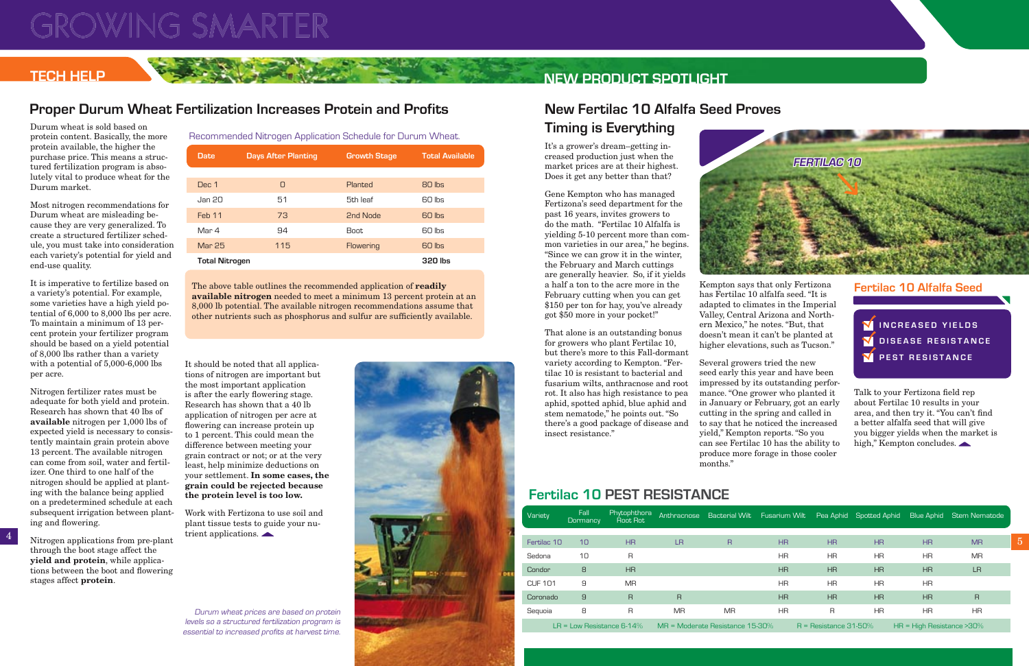# **s** 80lbs of N, 90 lbs of P 60-65 lbs of N 60-65 lbs of N 60-65 lbs of N 65-70 lbs of N

| Date                  | <b>Days After Planting</b> | <b>Growth Stage</b> | <b>Total Available</b> |  |  |  |
|-----------------------|----------------------------|---------------------|------------------------|--|--|--|
|                       |                            |                     |                        |  |  |  |
| Dec 1                 | O                          | Planted             | 80 lbs                 |  |  |  |
| Jan 20                | 51                         | 5th leaf            | 60 lbs                 |  |  |  |
| Feb 11                | 73                         | 2nd Node            | 60 lbs                 |  |  |  |
| Mar 4                 | 94                         | Boot.               | 60 lbs                 |  |  |  |
| <b>Mar 25</b>         | 115                        | Flowering           | 60 lbs                 |  |  |  |
| <b>Total Nitrogen</b> |                            |                     | 320 lbs                |  |  |  |

Durum wheat is sold based on protein content. Basically, the more protein available, the higher the purchase price. This means a structured fertilization program is absolutely vital to produce wheat for the Durum market.

Nitrogen fertilizer rates must be adequate for both yield and protein. Research has shown that 40 lbs of **available** nitrogen per 1,000 lbs of expected yield is necessary to consistently maintain grain protein above 13 percent. The available nitrogen can come from soil, water and fertilizer. One third to one half of the nitrogen should be applied at planting with the balance being applied on a predetermined schedule at each subsequent irrigation between planting and flowering.

Most nitrogen recommendations for Durum wheat are misleading because they are very generalized. To create a structured fertilizer schedule, you must take into consideration each variety's potential for yield and end-use quality.

It is imperative to fertilize based on a variety's potential. For example, some varieties have a high yield potential of 6,000 to 8,000 lbs per acre. To maintain a minimum of 13 percent protein your fertilizer program should be based on a yield potential of 8,000 lbs rather than a variety with a potential of 5,000-6,000 lbs per acre.

It should be noted that all applications of nitrogen are important but the most important application is after the early flowering stage. Research has shown that a 40 lb application of nitrogen per acre at flowering can increase protein up to 1 percent. This could mean the difference between meeting your grain contract or not; or at the very least, help minimize deductions on your settlement. **In some cases, the grain could be rejected because the protein level is too low.**

The above table outlines the recommended application of **readily available nitrogen** needed to meet a minimum 13 percent protein at an 8,000 lb potential. The available nitrogen recommendations assume that other nutrients such as phosphorus and sulfur are sufficiently available.

It's a grower's dream–getting increased production just when the market prices are at their highest. Does it get any better than that?

Gene Kempton who has managed Fertizona's seed department for the past 16 years, invites growers to do the math. "Fertilac 10 Alfalfa is yielding 5-10 percent more than common varieties in our area," he begins. "Since we can grow it in the winter, the February and March cuttings are generally heavier. So, if it yields a half a ton to the acre more in the February cutting when you can get \$150 per ton for hay, you've already got \$50 more in your pocket!"

That alone is an outstanding bonus for growers who plant Fertilac 10, but there's more to this Fall-dormant variety according to Kempton. "Fertilac 10 is resistant to bacterial and fusarium wilts, anthracnose and root rot. It also has high resistance to pea aphid, spotted aphid, blue aphid and stem nematode," he points out. "So there's a good package of disease and insect resistance."

Kempton says that only Fertizona has Fertilac 10 alfalfa seed. "It is adapted to climates in the Imperial Valley, Central Arizona and Northern Mexico," he notes. "But, that doesn't mean it can't be planted at higher elevations, such as Tucson."

Several growers tried the new months."

seed early this year and have been impressed by its outstanding performance. "One grower who planted it in January or February, got an early cutting in the spring and called in to say that he noticed the increased yield," Kempton reports. "So you can see Fertilac 10 has the ability to produce more forage in those cooler

# **NEW PRODUCT SPOTLIGHT**

### **TECH HELP**

# **New Fertilac 10 Alfalfa Seed Proves Timing is Everything**

# **Proper Durum Wheat Fertilization Increases Protein and Profits**

Durum wheat prices are based on protein levels so a structured fertilization program is essential to increased profits at harvest time.





### Recommended Nitrogen Application Schedule for Durum Wheat.

|  | subsequent irrigation between plant-<br>ing and flowering.                                        | Work with Fertizona to use soil and<br>plant tissue tests to guide your nu- |  | Variety                      | Fall<br>Dormancy |                |                                 |           |                         |                |                               |                | Phytophthora Anthracnose Bacterial Wilt Fusarium Wilt Pea Aphid Spotted Aphid Blue Aphid Stem Nematode<br>Root Rot |  |
|--|---------------------------------------------------------------------------------------------------|-----------------------------------------------------------------------------|--|------------------------------|------------------|----------------|---------------------------------|-----------|-------------------------|----------------|-------------------------------|----------------|--------------------------------------------------------------------------------------------------------------------|--|
|  | Nitrogen applications from pre-plant                                                              | trient applications. $\blacktriangle$                                       |  | Fertilac 10                  | 10               | H <sub>R</sub> | LR.                             |           | HR                      | H <sub>R</sub> | HR                            | H <sub>R</sub> | <b>MR</b>                                                                                                          |  |
|  | through the boot stage affect the<br>yield and protein, while applica-                            |                                                                             |  | Sedona                       | 10 <sup>°</sup>  | R.             |                                 |           | <b>HR</b>               | HR             | ΗR                            | <b>HR</b>      | MR                                                                                                                 |  |
|  | tions between the boot and flowering                                                              |                                                                             |  | Condor                       | 8                | HR             |                                 |           | HR                      | <b>HR</b>      | <b>HR</b>                     | H <sub>R</sub> | LR                                                                                                                 |  |
|  | stages affect <b>protein</b> .                                                                    |                                                                             |  | <b>CUF 101</b>               |                  | <b>MR</b>      |                                 |           | <b>HR</b>               | HR             | ΗR                            | HR             |                                                                                                                    |  |
|  |                                                                                                   |                                                                             |  | Coronado                     |                  |                | $\overline{R}$                  |           | HR                      | <b>HR</b>      | H <sub>R</sub>                | H <sub>R</sub> | R                                                                                                                  |  |
|  |                                                                                                   | Durum wheat prices are based on protein                                     |  | Seguoia                      | 8                |                | <b>MR</b>                       | <b>MR</b> | <b>HR</b>               |                | HR.                           | <b>HR</b>      | HR                                                                                                                 |  |
|  | levels so a structured fertilization program is<br>essential to increased profits at harvest time |                                                                             |  | LR = Low Resistance $6-14\%$ |                  |                | MR = Moderate Resistance 15-30% |           | $R =$ Resistance 31-50% |                | $HR = High Resistance > 30\%$ |                |                                                                                                                    |  |

### **Fertilac 10 Alfalfa Seed**

**IN CREASED YIELDS V** DISEASE RESISTANCE **Y** PEST RESISTANCE

Talk to your Fertizona field rep about Fertilac 10 results in your area, and then try it. "You can't find a better alfalfa seed that will give you bigger yields when the market is high," Kempton concludes.

## **Fertilac 10 PEST RESISTANCE**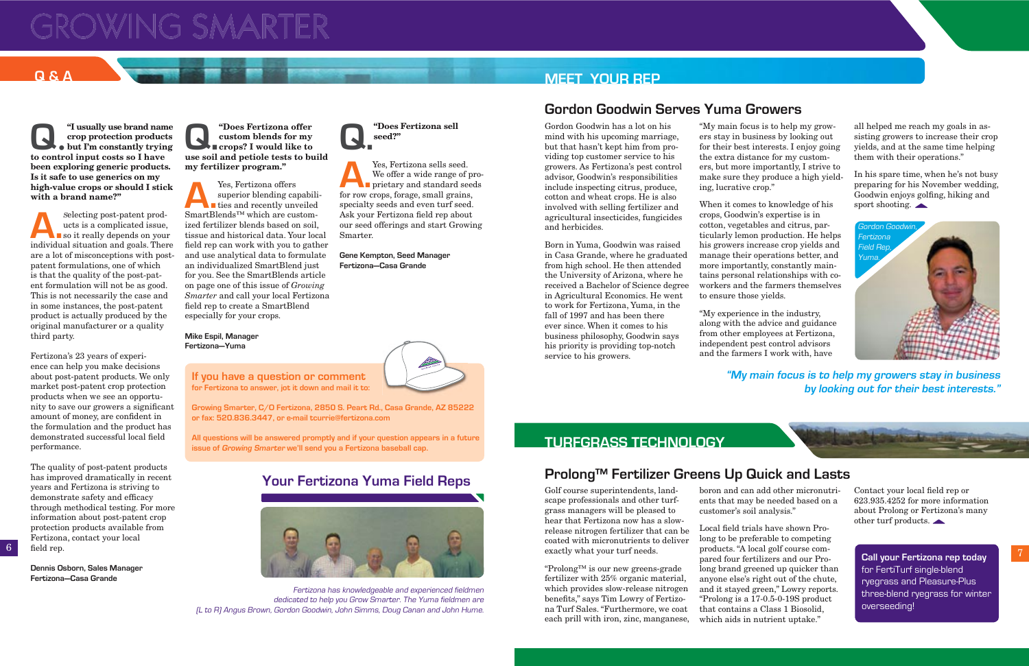Contact your local field rep or 623.935.4252 for more information about Prolong or Fertizona's many other turf products.

# **GROWING SMARTER**

**Q**.  $\bullet$  for and named a crop protection product but I'm constantly tryin to control input costs so I have **"I usually use brand name crop protection products but I'm constantly trying been exploring generic products. Is it safe to use generics on my high-value crops or should I stick with a brand name?"**

Selecting post-patent prod-<br>ucts is a complicated issue,<br>so it really depends on you<br>individual situation and goals Then ucts is a complicated issue, so it really depends on your individual situation and goals. There are a lot of misconceptions with postpatent formulations, one of which is that the quality of the post-patent formulation will not be as good. This is not necessarily the case and in some instances, the post-patent product is actually produced by the original manufacturer or a quality third party.

The quality of post-patent products has improved dramatically in recent years and Fertizona is striving to demonstrate safety and efficacy through methodical testing. For more information about post-patent crop protection products available from Fertizona, contact your local field rep.

Fertizona's 23 years of experience can help you make decisions about post-patent products. We only market post-patent crop protection products when we see an opportunity to save our growers a significant amount of money, are confident in the formulation and the product has demonstrated successful local field performance.

**Q.** "Does Fertizona offer<br>custom blends for my<br>record and petiole tests to buy **custom blends for my crops? I would like to use soil and petiole tests to build my fertilizer program."**

Yes, Fertizona offers<br>superior blending carries and recently units<br>SmartBlends<sup>™</sup> which are cu superior blending capabilities and recently unveiled SmartBlends™ which are customized fertilizer blends based on soil, tissue and historical data. Your local field rep can work with you to gather and use analytical data to formulate an individualized SmartBlend just for you. See the SmartBlends article on page one of this issue of *Growing Smarter* and call your local Fertizona field rep to create a SmartBlend especially for your crops.

**Dennis Osborn, Sales Manager Fertizona—Casa Grande**

Gordon Goodwin has a lot on his mind with his upcoming marriage, but that hasn't kept him from providing top customer service to his growers. As Fertizona's pest control advisor, Goodwin's responsibilities include inspecting citrus, produce, cotton and wheat crops. He is also involved with selling fertilizer and agricultural insecticides, fungicides and herbicides.

Born in Yuma, Goodwin was raised in Casa Grande, where he graduated from high school. He then attended the University of Arizona, where he received a Bachelor of Science degree in Agricultural Economics. He went to work for Fertizona, Yuma, in the fall of 1997 and has been there ever since. When it comes to his business philosophy, Goodwin says his priority is providing top-notch service to his growers.



Local field trials have shown Prolong to be preferable to competing products. "A local golf course compared four fertilizers and our Prolong brand greened up quicker than anyone else's right out of the chute, and it stayed green," Lowry reports. "Prolong is a 17-0.5-0-19S product that contains a Class 1 Biosolid, which aids in nutrient uptake."



In his spare time, when he's not busy preparing for his November wedding, Goodwin enjoys golfing, hiking and sport shooting.  $\triangle$ 

**Mike Espil, Manager Fertizona—Yuma**

"My main focus is to help my growers stay in business by looking out for their best interests. I enjoy going the extra distance for my customers, but more importantly, I strive to make sure they produce a high yielding, lucrative crop."

When it comes to knowledge of his crops, Goodwin's expertise is in cotton, vegetables and citrus, particularly lemon production. He helps his growers increase crop yields and manage their operations better, and more importantly, constantly maintains personal relationships with coworkers and the farmers themselves to ensure those yields.

"My experience in the industry, along with the advice and guidance from other employees at Fertizona, independent pest control advisors and the farmers I work with, have

**"My main focus is to help my growers stay in business by looking out for their best interests."**



# **Q & A MEET YOUR REP**

## **Gordon Goodwin Serves Yuma Growers**

Golf course superintendents, landscape professionals and other turfgrass managers will be pleased to hear that Fertizona now has a slowrelease nitrogen fertilizer that can be coated with micronutrients to deliver exactly what your turf needs.

"Prolong™ is our new greens-grade fertilizer with 25% organic material, which provides slow-release nitrogen benefits," says Tim Lowry of Fertizona Turf Sales. "Furthermore, we coat each prill with iron, zinc, manganese,

boron and can add other micronutrients that may be needed based on a customer's soil analysis."

## **TURFGRASS TECHNOLOGY**

# **Prolong™ Fertilizer Greens Up Quick and Lasts**

all helped me reach my goals in assisting growers to increase their crop yields, and at the same time helping them with their operations."

**Q."Does Fertizona sell** 

**seed?"**

We offer a wide range of proprietary and standard seeds

Yes, Fertizona sells seed.<br>We offer a wide range of<br>prietary and standard se<br>for row crops for age small grains

for row crops, forage, small grains, specialty seeds and even turf seed. Ask your Fertizona field rep about our seed offerings and start Growing

Smarter.

**Gene Kempton, Seed Manager Fertizona—Casa Grande**

Fertizona has knowledgeable and experienced fieldmen dedicated to help you Grow Smarter. The Yuma fieldmen are (L to R) Angus Brown, Gordon Goodwin, John Simms, Doug Canan and John Hume.



# **Your Fertizona Yuma Field Reps**

### **If you have a question or comment for Fertizona to answer, jot it down and mail it to:**

**Growing Smarter, C/O Fertizona, 2850 S. Peart Rd., Casa Grande, AZ 85222 or fax: 520.836.3447, or e-mail tcurrie@fertizona.com**

**All questions will be answered promptly and if your question appears in a future issue of Growing Smarter we'll send you a Fertizona baseball cap.**

> **Call your Fertizona rep today** for FertiTurf single-blend ryegrass and Pleasure-Plus three-blend ryegrass for winter overseeding!